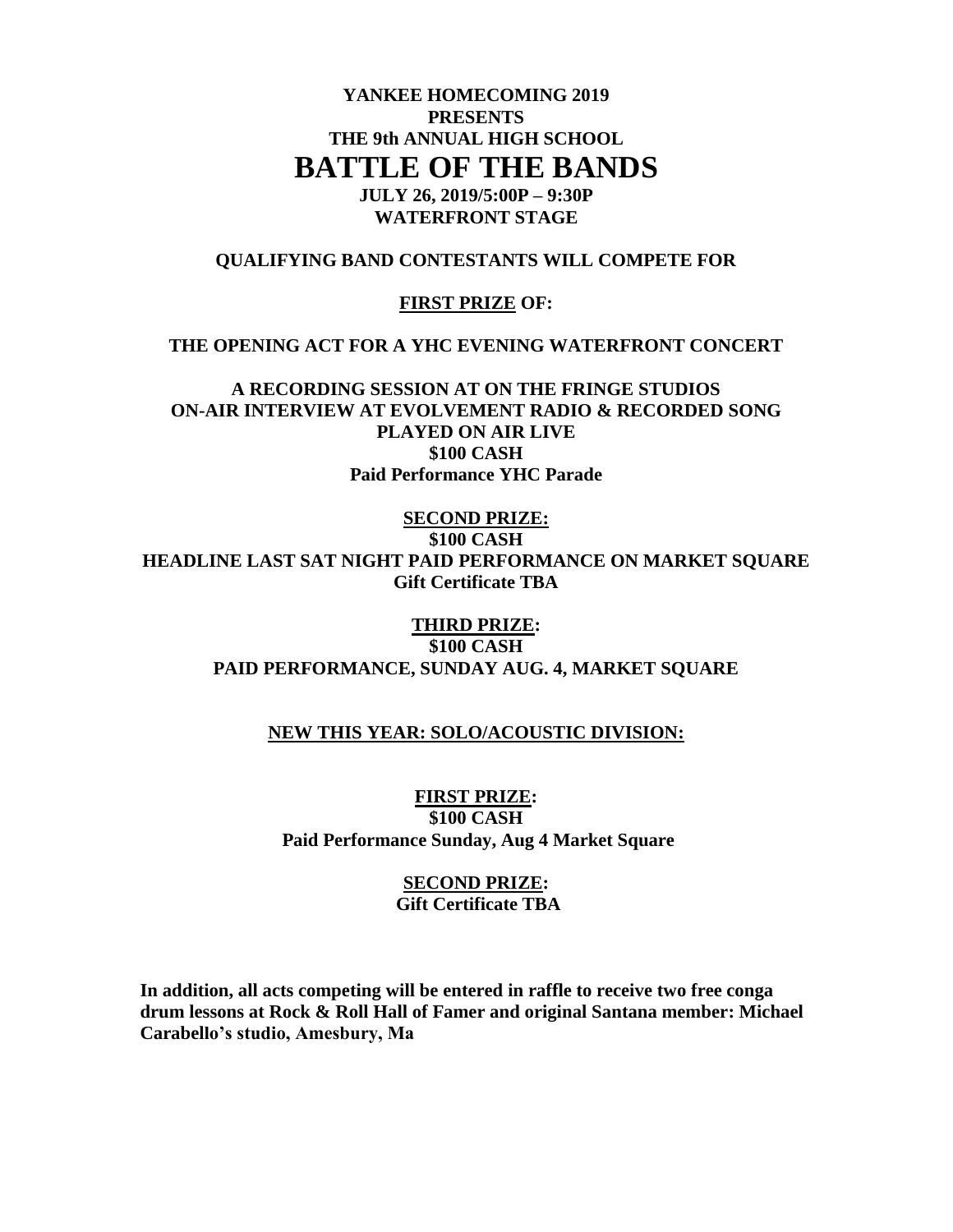# **YANKEE HOMECOMING 2019 PRESENTS THE 9th ANNUAL HIGH SCHOOL BATTLE OF THE BANDS**

**JULY 26, 2019/5:00P – 9:30P WATERFRONT STAGE**

## **QUALIFYING BAND CONTESTANTS WILL COMPETE FOR**

#### **FIRST PRIZE OF:**

#### **THE OPENING ACT FOR A YHC EVENING WATERFRONT CONCERT**

**A RECORDING SESSION AT ON THE FRINGE STUDIOS ON-AIR INTERVIEW AT EVOLVEMENT RADIO & RECORDED SONG PLAYED ON AIR LIVE \$100 CASH Paid Performance YHC Parade**

**SECOND PRIZE: \$100 CASH HEADLINE LAST SAT NIGHT PAID PERFORMANCE ON MARKET SQUARE Gift Certificate TBA**

> **THIRD PRIZE: \$100 CASH PAID PERFORMANCE, SUNDAY AUG. 4, MARKET SQUARE**

## **NEW THIS YEAR: SOLO/ACOUSTIC DIVISION:**

**FIRST PRIZE: \$100 CASH Paid Performance Sunday, Aug 4 Market Square**

> **SECOND PRIZE: Gift Certificate TBA**

**In addition, all acts competing will be entered in raffle to receive two free conga drum lessons at Rock & Roll Hall of Famer and original Santana member: Michael Carabello's studio, Amesbury, Ma**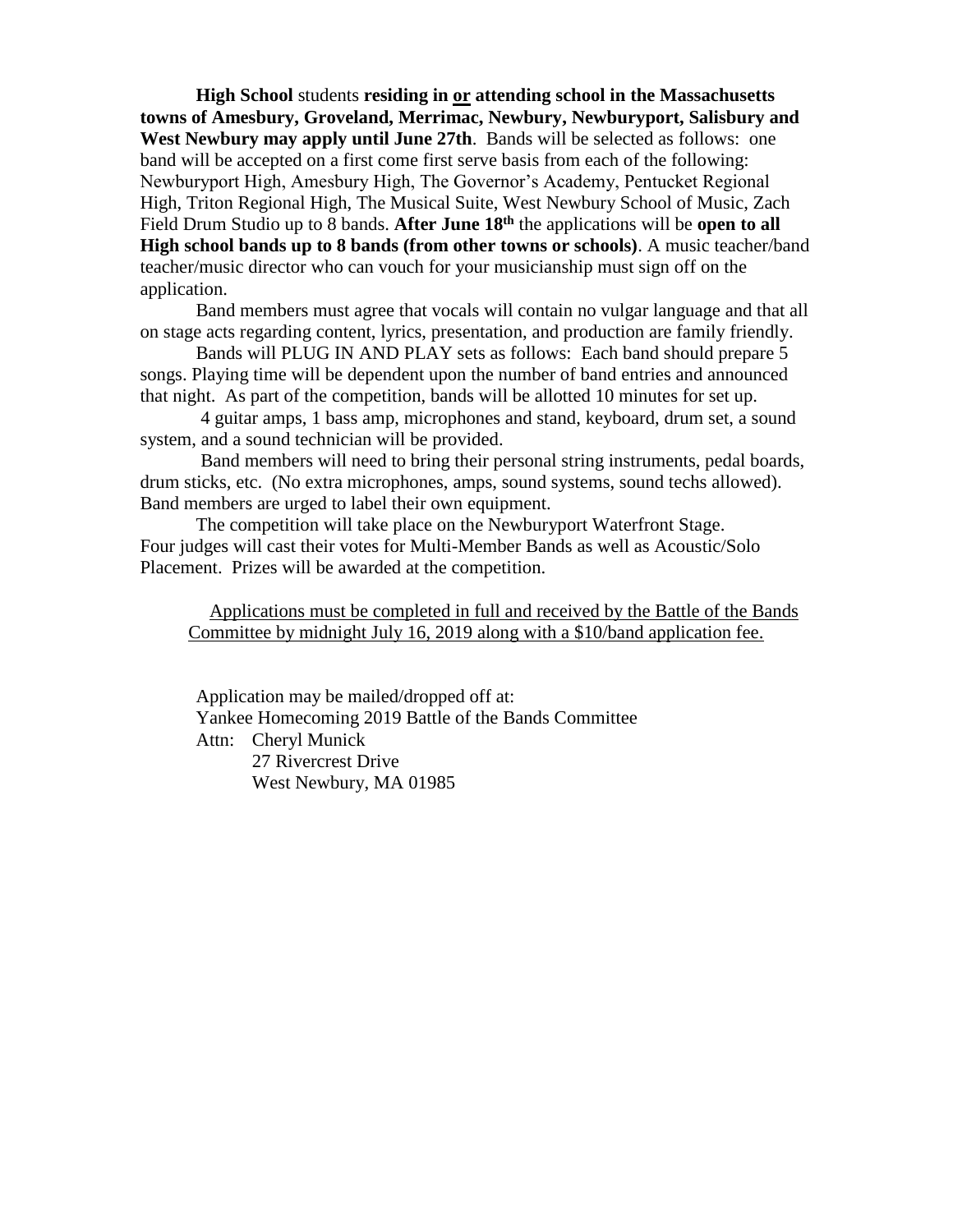**High School** students **residing in or attending school in the Massachusetts towns of Amesbury, Groveland, Merrimac, Newbury, Newburyport, Salisbury and West Newbury may apply until June 27th**. Bands will be selected as follows: one band will be accepted on a first come first serve basis from each of the following: Newburyport High, Amesbury High, The Governor's Academy, Pentucket Regional High, Triton Regional High, The Musical Suite, West Newbury School of Music, Zach Field Drum Studio up to 8 bands. After June 18<sup>th</sup> the applications will be open to all **High school bands up to 8 bands (from other towns or schools)**. A music teacher/band teacher/music director who can vouch for your musicianship must sign off on the application.

Band members must agree that vocals will contain no vulgar language and that all on stage acts regarding content, lyrics, presentation, and production are family friendly.

Bands will PLUG IN AND PLAY sets as follows: Each band should prepare 5 songs. Playing time will be dependent upon the number of band entries and announced that night. As part of the competition, bands will be allotted 10 minutes for set up.

4 guitar amps, 1 bass amp, microphones and stand, keyboard, drum set, a sound system, and a sound technician will be provided.

Band members will need to bring their personal string instruments, pedal boards, drum sticks, etc. (No extra microphones, amps, sound systems, sound techs allowed). Band members are urged to label their own equipment.

The competition will take place on the Newburyport Waterfront Stage. Four judges will cast their votes for Multi-Member Bands as well as Acoustic/Solo Placement. Prizes will be awarded at the competition.

Applications must be completed in full and received by the Battle of the Bands Committee by midnight July 16, 2019 along with a \$10/band application fee.

Application may be mailed/dropped off at: Yankee Homecoming 2019 Battle of the Bands Committee Attn: Cheryl Munick 27 Rivercrest Drive West Newbury, MA 01985